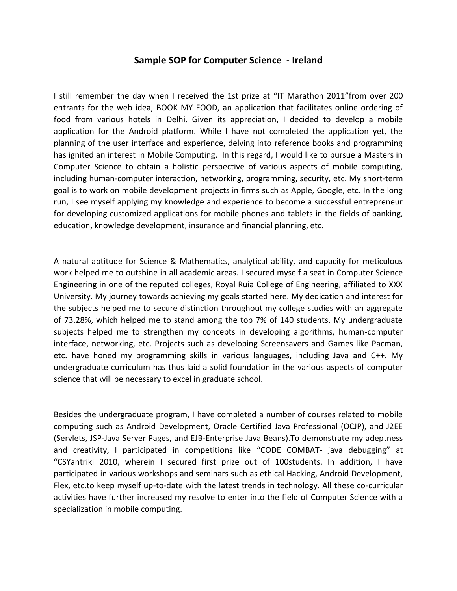## **Sample SOP for Computer Science - Ireland**

I still remember the day when I received the 1st prize at "IT Marathon 2011"from over 200 entrants for the web idea, BOOK MY FOOD, an application that facilitates online ordering of food from various hotels in Delhi. Given its appreciation, I decided to develop a mobile application for the Android platform. While I have not completed the application yet, the planning of the user interface and experience, delving into reference books and programming has ignited an interest in Mobile Computing. In this regard, I would like to pursue a Masters in Computer Science to obtain a holistic perspective of various aspects of mobile computing, including human-computer interaction, networking, programming, security, etc. My short-term goal is to work on mobile development projects in firms such as Apple, Google, etc. In the long run, I see myself applying my knowledge and experience to become a successful entrepreneur for developing customized applications for mobile phones and tablets in the fields of banking, education, knowledge development, insurance and financial planning, etc.

A natural aptitude for Science & Mathematics, analytical ability, and capacity for meticulous work helped me to outshine in all academic areas. I secured myself a seat in Computer Science Engineering in one of the reputed colleges, Royal Ruia College of Engineering, affiliated to XXX University. My journey towards achieving my goals started here. My dedication and interest for the subjects helped me to secure distinction throughout my college studies with an aggregate of 73.28%, which helped me to stand among the top 7% of 140 students. My undergraduate subjects helped me to strengthen my concepts in developing algorithms, human-computer interface, networking, etc. Projects such as developing Screensavers and Games like Pacman, etc. have honed my programming skills in various languages, including Java and C++. My undergraduate curriculum has thus laid a solid foundation in the various aspects of computer science that will be necessary to excel in graduate school.

Besides the undergraduate program, I have completed a number of courses related to mobile computing such as Android Development, Oracle Certified Java Professional (OCJP), and J2EE (Servlets, JSP-Java Server Pages, and EJB-Enterprise Java Beans).To demonstrate my adeptness and creativity, I participated in competitions like "CODE COMBAT- java debugging" at "CSYantriki 2010, wherein I secured first prize out of 100students. In addition, I have participated in various workshops and seminars such as ethical Hacking, Android Development, Flex, etc.to keep myself up-to-date with the latest trends in technology. All these co-curricular activities have further increased my resolve to enter into the field of Computer Science with a specialization in mobile computing.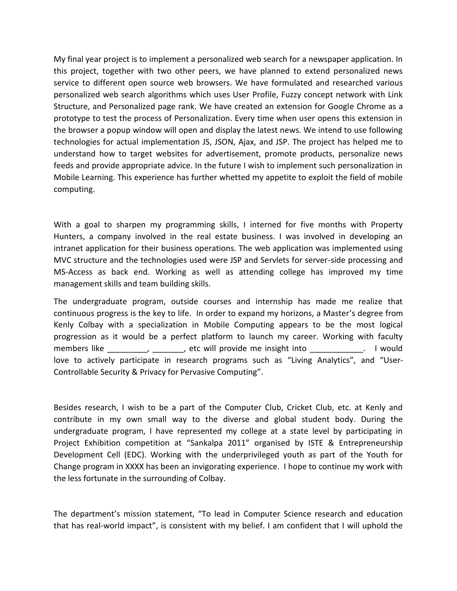My final year project is to implement a personalized web search for a newspaper application. In this project, together with two other peers, we have planned to extend personalized news service to different open source web browsers. We have formulated and researched various personalized web search algorithms which uses User Profile, Fuzzy concept network with Link Structure, and Personalized page rank. We have created an extension for Google Chrome as a prototype to test the process of Personalization. Every time when user opens this extension in the browser a popup window will open and display the latest news. We intend to use following technologies for actual implementation JS, JSON, Ajax, and JSP. The project has helped me to understand how to target websites for advertisement, promote products, personalize news feeds and provide appropriate advice. In the future I wish to implement such personalization in Mobile Learning. This experience has further whetted my appetite to exploit the field of mobile computing.

With a goal to sharpen my programming skills, I interned for five months with Property Hunters, a company involved in the real estate business. I was involved in developing an intranet application for their business operations. The web application was implemented using MVC structure and the technologies used were JSP and Servlets for server-side processing and MS-Access as back end. Working as well as attending college has improved my time management skills and team building skills.

The undergraduate program, outside courses and internship has made me realize that continuous progress is the key to life. In order to expand my horizons, a Master's degree from Kenly Colbay with a specialization in Mobile Computing appears to be the most logical progression as it would be a perfect platform to launch my career. Working with faculty members like \_\_\_\_\_\_\_\_\_\_\_\_\_\_, etc will provide me insight into \_\_\_\_\_\_\_\_\_\_\_\_\_. I would love to actively participate in research programs such as "Living Analytics", and "User-Controllable Security & Privacy for Pervasive Computing".

Besides research, I wish to be a part of the Computer Club, Cricket Club, etc. at Kenly and contribute in my own small way to the diverse and global student body. During the undergraduate program, I have represented my college at a state level by participating in Project Exhibition competition at "Sankalpa 2011" organised by ISTE & Entrepreneurship Development Cell (EDC). Working with the underprivileged youth as part of the Youth for Change program in XXXX has been an invigorating experience. I hope to continue my work with the less fortunate in the surrounding of Colbay.

The department's mission statement, "To lead in Computer Science research and education that has real-world impact", is consistent with my belief. I am confident that I will uphold the